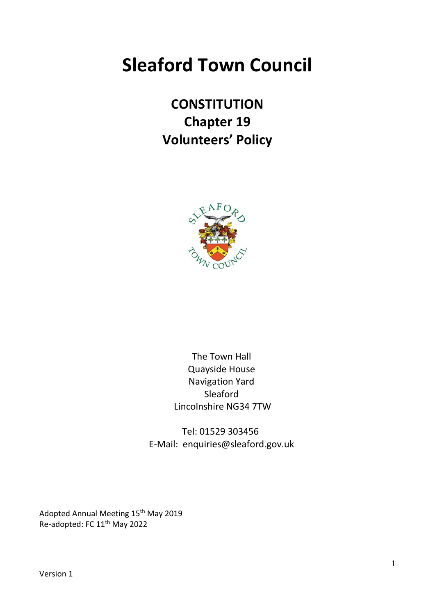# **Sleaford Town Council**

# **CONSTITUTION Chapter 19 Volunteers' Policy**



The Town Hall Quayside House Navigation Yard Sleaford Lincolnshire NG34 7TW

Tel: 01529 303456 E-Mail: enquiries@sleaford.gov.uk

Adopted Annual Meeting 15<sup>th</sup> May 2019 Re-adopted: FC 11th May 2022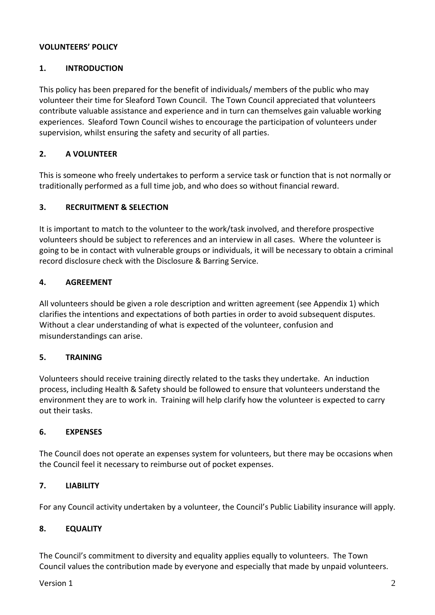# **VOLUNTEERS' POLICY**

# **1. INTRODUCTION**

This policy has been prepared for the benefit of individuals/ members of the public who may volunteer their time for Sleaford Town Council. The Town Council appreciated that volunteers contribute valuable assistance and experience and in turn can themselves gain valuable working experiences. Sleaford Town Council wishes to encourage the participation of volunteers under supervision, whilst ensuring the safety and security of all parties.

# **2. A VOLUNTEER**

This is someone who freely undertakes to perform a service task or function that is not normally or traditionally performed as a full time job, and who does so without financial reward.

## **3. RECRUITMENT & SELECTION**

It is important to match to the volunteer to the work/task involved, and therefore prospective volunteers should be subject to references and an interview in all cases. Where the volunteer is going to be in contact with vulnerable groups or individuals, it will be necessary to obtain a criminal record disclosure check with the Disclosure & Barring Service.

## **4. AGREEMENT**

All volunteers should be given a role description and written agreement (see Appendix 1) which clarifies the intentions and expectations of both parties in order to avoid subsequent disputes. Without a clear understanding of what is expected of the volunteer, confusion and misunderstandings can arise.

#### **5. TRAINING**

Volunteers should receive training directly related to the tasks they undertake. An induction process, including Health & Safety should be followed to ensure that volunteers understand the environment they are to work in. Training will help clarify how the volunteer is expected to carry out their tasks.

#### **6. EXPENSES**

The Council does not operate an expenses system for volunteers, but there may be occasions when the Council feel it necessary to reimburse out of pocket expenses.

#### **7. LIABILITY**

For any Council activity undertaken by a volunteer, the Council's Public Liability insurance will apply.

#### **8. EQUALITY**

The Council's commitment to diversity and equality applies equally to volunteers. The Town Council values the contribution made by everyone and especially that made by unpaid volunteers.